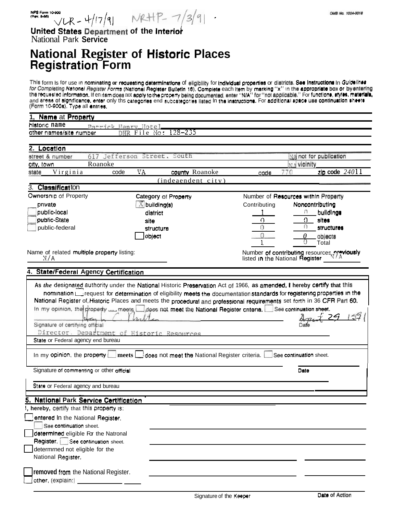United States Department of the Interior National Park Service

## **National Register of Historic Places<br>Registration Form**

This form is for use in nominating or requesting determinations of eligibility for individual properties or districts. See instructions in Guidelines for Completing National Register Forms (National Register Builetin 18). and areas of significance, enter only this categories end subcategories listed in the instructions. For additional space use continuation sheets (Form 10-900a), Type all entries.

| <b>Name at Property</b>                                                |                                                                                               |                                                                                                            |      |
|------------------------------------------------------------------------|-----------------------------------------------------------------------------------------------|------------------------------------------------------------------------------------------------------------|------|
| historic name                                                          | Patrick Henry Hotel                                                                           |                                                                                                            |      |
| other names/site number                                                | DHR File No: 128-235                                                                          |                                                                                                            |      |
| 2. Location                                                            |                                                                                               |                                                                                                            |      |
| street & number                                                        | 617 Jefferson Street.<br>South                                                                | NA not for publication                                                                                     |      |
| city, town<br>Roanoke                                                  |                                                                                               | <b>NA</b> vicinity                                                                                         |      |
| Virginia<br>state                                                      | VA<br>county Roanoke<br>code                                                                  | zip code $240\overline{11}$<br>770<br>code                                                                 |      |
|                                                                        | $(indeaendent\;city)$                                                                         |                                                                                                            |      |
| 3. Classification                                                      |                                                                                               |                                                                                                            |      |
| Ownersnip of Property                                                  | Category of Property                                                                          | Number of Resources within Property                                                                        |      |
| private                                                                | $\mathbb{X}$ building(s)                                                                      | Contributing<br>Noncontributing                                                                            |      |
| public-local                                                           | district                                                                                      | buildings                                                                                                  |      |
| public-State                                                           | site                                                                                          | sites                                                                                                      |      |
| public-federal                                                         | structure                                                                                     | structures                                                                                                 |      |
|                                                                        | object                                                                                        | objects                                                                                                    |      |
|                                                                        |                                                                                               | Total                                                                                                      |      |
| Name of related multiple property listing:                             |                                                                                               | Number of contributing resources nraviously                                                                |      |
| N/A                                                                    |                                                                                               | listed in the National Register                                                                            |      |
|                                                                        |                                                                                               |                                                                                                            |      |
| 4. State/Federal Agency Certification                                  |                                                                                               |                                                                                                            |      |
| Signature of certifying official<br>State or Federal agency end bureau | Director. Department of Historic Resources                                                    | In my opinion, the groperty __ meets dees not meet the National Register criteria. See continuation sheet. | 159. |
|                                                                        | In my opinion, the property $\Box$ meets $\Box$ does not meet the National Register criteria. | See continuation sheet.                                                                                    |      |
| Signature of commenting or other official                              |                                                                                               | Date                                                                                                       |      |
| State or Federal agency and bureau                                     |                                                                                               |                                                                                                            |      |
| National Park Service Certification<br>5.                              |                                                                                               |                                                                                                            |      |
| , hereby, certify that this property is:                               |                                                                                               |                                                                                                            |      |
|                                                                        |                                                                                               |                                                                                                            |      |
| entered In the National Register.                                      |                                                                                               |                                                                                                            |      |
| See continuation sheet.                                                |                                                                                               |                                                                                                            |      |
| determined eligible For the Natronal                                   |                                                                                               |                                                                                                            |      |
| Register. See continuation sheet.                                      |                                                                                               |                                                                                                            |      |
| determrned not eligible for the                                        |                                                                                               |                                                                                                            |      |
|                                                                        |                                                                                               |                                                                                                            |      |
| National Register.                                                     |                                                                                               |                                                                                                            |      |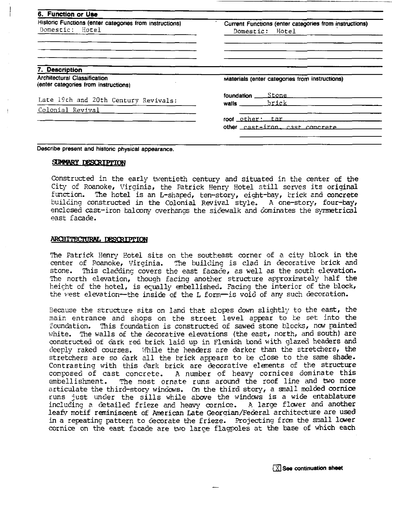| 6. Function or Use<br>Historic Functions (enter categories from instructions)<br>Domestic: Hotel | Current Functions (enter categories from instructions)<br>Domestic: Hotel |
|--------------------------------------------------------------------------------------------------|---------------------------------------------------------------------------|
|                                                                                                  |                                                                           |
| 7. Description<br><b>Architectural Classification</b><br>(enter categories from instructions)    | materials (enter categories from instructions)                            |
| Late 19th and 20th Century Revivals:                                                             | brick _____<br>wails <b>wails</b>                                         |
| Colonial Revival<br>the company of the company of the company of the company                     | roof other: tar _______<br>other cast-iron, cast concrete ______          |
| Describe present and historic physical appearance.                                               |                                                                           |

Constructed in the early twentieth century and situated in the center of the City of Roanoke, Virginia, the Patrick Henry Hotel still serves its original<br>function. The hotel is an L-shaped, ten-story, eight-bay, brick and concrete The hotel is an L-shaped, ten-story, eight-bay, brick and concrete unstructed in the Colonial Revival style. A one-story, four-bay, building constructed in the Colonial Revival style. enclosed cast-iron balcony overhands the sidewalk and cominates the symmetrical east facade.

#### ARCHITECTURAL DESCRIPTION

The Patrick Henry Hotel sits on the southeast corner of a city block in the center of Roanoke, Virginia. The building is clad in decorative brick and stone. This cladding covers the east facade, as well as the south elevation. This cladding covers the east facade, as well as the south elevation. The north elevation, though facing another structure approximately half the height of the hotel, is equally embellished. Facing the interior of the block, the west elevation-the inside of the L form-is void of any such decoration.

Because the structure sits on land that slopes down slightly to the east, the main entrance and shops on the street level appear to be set into the foundation. This foundation is constructed of sawed stone blocks, now painted white. The walls of the decorative elevations (the east, north, and south) are oonstructeci of &rk red brick laid up in Flemish bnd with glazed headers **and**  deeply raked courses. While the headers are darker than the stretchers, the stretchers are so &irk 211 the brick appars to ke close to the same **shade.**  Contrasting with this dark brick are decorative elements of the structure<br>composed of cast concrete. A number of heavy cornices dominate this composed of cast concrete. A number of heavy cornices dominate this<br>embellishment. The most ornate runs around the roof line and two more The most ornate runs around the roof line and two more articulate the third-story windows. On the third story, a mall molded cornice runs just under the sills while above **the** windms is a wide entablature including a detailed frieze and heavy cornice. A large flower and another leafy motif reminiscent of American Late Georgian/Federal architecture are used in a repeating pattern to decorate the frieze. Projecting from the small lower cornice on the east facade are two large flagpoles at the base of which each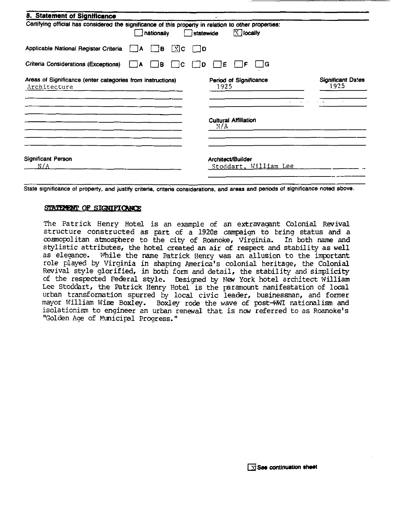| 8. Statement of Significance<br>Certifying official has considered the significance of this property in relation to other properties:<br>$\sqrt{1}$ locally<br>nationally<br>statewide |                                            |                                  |  |  |
|----------------------------------------------------------------------------------------------------------------------------------------------------------------------------------------|--------------------------------------------|----------------------------------|--|--|
| Applicable National Register Criteria<br>$\boxed{\text{X}}$ C<br>¦B<br>A                                                                                                               | D                                          |                                  |  |  |
| Criteria Considerations (Exceptions)<br>l B<br>А                                                                                                                                       | ۱G<br>с<br>E<br>D                          |                                  |  |  |
| Areas of Significance (enter categories from instructions)<br>Architecture                                                                                                             | Period of Significance<br>1925             | <b>Significant Dates</b><br>1925 |  |  |
|                                                                                                                                                                                        |                                            |                                  |  |  |
|                                                                                                                                                                                        | <b>Cultural Affiliation</b><br>N/A         |                                  |  |  |
| <b>Significant Person</b><br>N/A                                                                                                                                                       | Architect/Builder<br>Stoddart, William Lee |                                  |  |  |

State Significance of property, and justify criteria, criteria considerations, and areas and periods of significance noted above.

### STATEMENT OF SIGNIFICANCE

The Patrick Henry Hotel is an example of an extravagant Colonial Revival structure constructed as part of a 1920s campaign to bring status and a cosmopolitan atmosphere to the city of Roanoke, Virginia. In both name and stylistic attributes, the hotel created an air of respect and stability as well as eleqnce. While the name Patrick Henry was an allusion to the important role played by Virqinia in shaping Pmerica's colonial heritage, the Colonial Revival style glorified, in both form and detail, the stability and simplicity of the respcted Federal style. Designed by **Mew** York hotel architect William Lee Stoddart, the Patrick Henry Hotel is the paramount manifestation of local urban transformation spurred by local civic leader, businessman, and former mayor William Wise Boxley. Boxley rode the wave of post-WWI nationalism and isolationism to engineer an urban renewal that is now referred to as Roanoke's "Golden Age of Municipal Progress."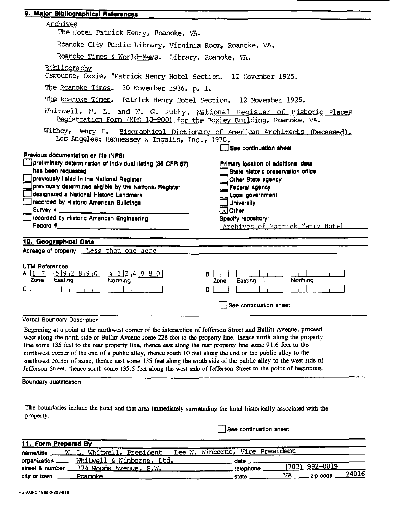| <u>Archives</u><br>The Hotel Patrick Henry, Roanoke, VA.<br>Roanoke City Public Library, Virginia Room, Roanoke, VA.<br>Roanoke Times & World-News. Library, Roanoke, VA.<br><u>Bibliography</u><br>Osbourne, Ozzie, "Patrick Henry Hotel Section. 12 November 1925.<br>The Roanoke Times. 30 November 1936. p. 1.<br>The Roanoke Times. Patrick Henry Hotel Section. 12 November 1925.<br>Whitwell, W. L. and W. G. Kuthy, National Register of Historic Places<br>Registration Form (NPS 10-900) for the Boxley Building, Roanoke, VA.<br>Withey, Henry F.<br>Biographical Dictionary of American Architects (Deceased).<br>Los Angeles: Hennessey & Ingalls, Inc., 1970.<br>See continuation sheet<br>Previous documentation on file (NPS):<br>preliminary determination of individual listing (36 CFR 67)<br>Primary location of additional data:<br>has been requested<br>State historic preservation office<br>previously listed in the National Register<br>Other State agency<br>previously determined eligible by the National Register<br>Federal agency<br>designated a National Historic Landmark<br>Local government<br>recorded by Historic American Buildings<br><b>University</b><br>Survey #<br>$x$ Other<br>recorded by Historic American Engineering<br>Specify repository:<br>Record #<br><u>Archives of Patrick Henry Hotel</u><br><u> 1980 - Johann Stein, fransk politik (d. 1980)</u><br>10. Geographical Data<br>Acreage of property Less than one acre<br><b>UTM References</b><br>$A$ $\left[1+7\right]$ $\left[5\right]9$ $\left[2\right]8$ $\left[9\right]0$<br>$\frac{(4+1)2+4(9+8+0)}{12}$<br>в<br><b>Northing</b><br>Zone<br>Easting<br>Easting<br>Zonel |  |
|------------------------------------------------------------------------------------------------------------------------------------------------------------------------------------------------------------------------------------------------------------------------------------------------------------------------------------------------------------------------------------------------------------------------------------------------------------------------------------------------------------------------------------------------------------------------------------------------------------------------------------------------------------------------------------------------------------------------------------------------------------------------------------------------------------------------------------------------------------------------------------------------------------------------------------------------------------------------------------------------------------------------------------------------------------------------------------------------------------------------------------------------------------------------------------------------------------------------------------------------------------------------------------------------------------------------------------------------------------------------------------------------------------------------------------------------------------------------------------------------------------------------------------------------------------------------------------------------------------------------------------------------------------------------------------------|--|
|                                                                                                                                                                                                                                                                                                                                                                                                                                                                                                                                                                                                                                                                                                                                                                                                                                                                                                                                                                                                                                                                                                                                                                                                                                                                                                                                                                                                                                                                                                                                                                                                                                                                                          |  |
|                                                                                                                                                                                                                                                                                                                                                                                                                                                                                                                                                                                                                                                                                                                                                                                                                                                                                                                                                                                                                                                                                                                                                                                                                                                                                                                                                                                                                                                                                                                                                                                                                                                                                          |  |
|                                                                                                                                                                                                                                                                                                                                                                                                                                                                                                                                                                                                                                                                                                                                                                                                                                                                                                                                                                                                                                                                                                                                                                                                                                                                                                                                                                                                                                                                                                                                                                                                                                                                                          |  |
|                                                                                                                                                                                                                                                                                                                                                                                                                                                                                                                                                                                                                                                                                                                                                                                                                                                                                                                                                                                                                                                                                                                                                                                                                                                                                                                                                                                                                                                                                                                                                                                                                                                                                          |  |
|                                                                                                                                                                                                                                                                                                                                                                                                                                                                                                                                                                                                                                                                                                                                                                                                                                                                                                                                                                                                                                                                                                                                                                                                                                                                                                                                                                                                                                                                                                                                                                                                                                                                                          |  |
|                                                                                                                                                                                                                                                                                                                                                                                                                                                                                                                                                                                                                                                                                                                                                                                                                                                                                                                                                                                                                                                                                                                                                                                                                                                                                                                                                                                                                                                                                                                                                                                                                                                                                          |  |
|                                                                                                                                                                                                                                                                                                                                                                                                                                                                                                                                                                                                                                                                                                                                                                                                                                                                                                                                                                                                                                                                                                                                                                                                                                                                                                                                                                                                                                                                                                                                                                                                                                                                                          |  |
|                                                                                                                                                                                                                                                                                                                                                                                                                                                                                                                                                                                                                                                                                                                                                                                                                                                                                                                                                                                                                                                                                                                                                                                                                                                                                                                                                                                                                                                                                                                                                                                                                                                                                          |  |
|                                                                                                                                                                                                                                                                                                                                                                                                                                                                                                                                                                                                                                                                                                                                                                                                                                                                                                                                                                                                                                                                                                                                                                                                                                                                                                                                                                                                                                                                                                                                                                                                                                                                                          |  |
|                                                                                                                                                                                                                                                                                                                                                                                                                                                                                                                                                                                                                                                                                                                                                                                                                                                                                                                                                                                                                                                                                                                                                                                                                                                                                                                                                                                                                                                                                                                                                                                                                                                                                          |  |
|                                                                                                                                                                                                                                                                                                                                                                                                                                                                                                                                                                                                                                                                                                                                                                                                                                                                                                                                                                                                                                                                                                                                                                                                                                                                                                                                                                                                                                                                                                                                                                                                                                                                                          |  |
|                                                                                                                                                                                                                                                                                                                                                                                                                                                                                                                                                                                                                                                                                                                                                                                                                                                                                                                                                                                                                                                                                                                                                                                                                                                                                                                                                                                                                                                                                                                                                                                                                                                                                          |  |
|                                                                                                                                                                                                                                                                                                                                                                                                                                                                                                                                                                                                                                                                                                                                                                                                                                                                                                                                                                                                                                                                                                                                                                                                                                                                                                                                                                                                                                                                                                                                                                                                                                                                                          |  |
|                                                                                                                                                                                                                                                                                                                                                                                                                                                                                                                                                                                                                                                                                                                                                                                                                                                                                                                                                                                                                                                                                                                                                                                                                                                                                                                                                                                                                                                                                                                                                                                                                                                                                          |  |
| D                                                                                                                                                                                                                                                                                                                                                                                                                                                                                                                                                                                                                                                                                                                                                                                                                                                                                                                                                                                                                                                                                                                                                                                                                                                                                                                                                                                                                                                                                                                                                                                                                                                                                        |  |
| See continuation sheet                                                                                                                                                                                                                                                                                                                                                                                                                                                                                                                                                                                                                                                                                                                                                                                                                                                                                                                                                                                                                                                                                                                                                                                                                                                                                                                                                                                                                                                                                                                                                                                                                                                                   |  |
|                                                                                                                                                                                                                                                                                                                                                                                                                                                                                                                                                                                                                                                                                                                                                                                                                                                                                                                                                                                                                                                                                                                                                                                                                                                                                                                                                                                                                                                                                                                                                                                                                                                                                          |  |
| Verbal Boundary Description                                                                                                                                                                                                                                                                                                                                                                                                                                                                                                                                                                                                                                                                                                                                                                                                                                                                                                                                                                                                                                                                                                                                                                                                                                                                                                                                                                                                                                                                                                                                                                                                                                                              |  |
| Beginning at a point at the northwest corner of the intersection of Jefferson Street and Bullitt Avenue, proceed<br>west along the north side of Bullitt Avenue some 226 feet to the property line, thence north along the property                                                                                                                                                                                                                                                                                                                                                                                                                                                                                                                                                                                                                                                                                                                                                                                                                                                                                                                                                                                                                                                                                                                                                                                                                                                                                                                                                                                                                                                      |  |

line some 135 feet to the rear property line, thence east along the rear property line some 91.6 feet to the northwest corner of the end of a public alley, thence south 10 feet along the end of the public alley to the southwest corner of same, thence east some 135 feet along the south side of the public alley to the west side of Jefferson Street, thence south some 135.5 feet along the west side of Jefferson Street to the point of beginning.

### **Boundary Justification**

The boundaries include the hotel and that area immediately surrounding the hotel historically associated with the property.

See continuation sheet

| 11. Form Prepared By                                                      |                                                                              |
|---------------------------------------------------------------------------|------------------------------------------------------------------------------|
| name/title _____W. L. Whitwell, President Lee W. Winborne, Vice President |                                                                              |
| organization ______ Whitwell & Winborne, Ltd. _____________               |                                                                              |
| street & number ___374 Woods Avenue, S.W.                                 | $(703)$ 992-0019<br>telephone                                                |
|                                                                           | $\underline{\text{VA}}$ zip code $\underline{\hspace{1em}24016}$<br>state __ |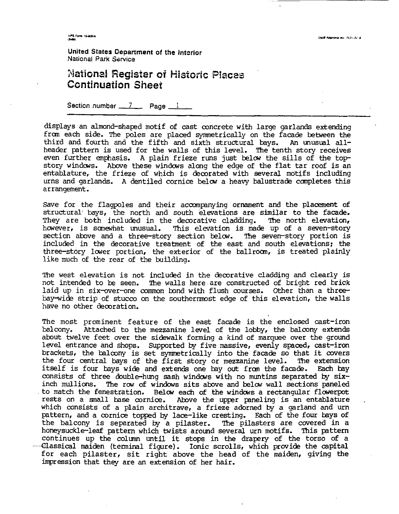PS Form 10-800-4

United States Department **of the** lntcrlor **National** Park **Sawice** 

## **Platisna! Register of Eisforic Piaczs Ccntinuation Sheet**

Section number 17 **Page** 1

displays an almond-shapd motif of cast concrete with large garlands extending £ran each side. The poles are placed symnetrically on the facade tetween the third and fourth and the fifth and sixth structural bays. An unusual allheader pattern is used for the walls of this level. The tenth story receives even further emphasis. A plain frieze runs just below the sills of the topstory windms. Above these windms along the edge of the flat tar roof is an entablature, the frieze of which is decorated with several motifs including urns and garlands. A dentiled cornice below a heavy balustrade completes this arrangement.

Save for the flagpoles and their accompanying ornament and the placement of structural bays, the north and south elevations are similar to the facade.<br>They are both included in the decorative cladding. The north elevation, They are both included in the decorative cladding.<br>however, is somewhat unusual. This elevation is made This elevation is made up of a seven-story section above and a three-story section below. The seven-story portion is included in the decorative treatment of the east and south elevations; the three-story lower portion, the exterior of the ballroom, is treated plainly like much of the rear of the building.

The west elevation is not included in the decorative cladding and clearly is not intended to ke seen. The walls here are constructed of bright red brick laid up in six-over-one common bond with flush courses. Other than a threebay-wide strip of stucco on the southernmost edge of this elevation, the walls have no other decoration.

The most prominent feature of the east facade is the enclosed cast-iron<br>balcony. Attached to the mezzanine level of the lobby, the balcony extends Attached to the mezzanine level of the lobby, the balcony extends about twelve feet over the sidewalk forming a kind of marquee over the ground level entrance and shops. Supported by five massive, evenly spaced, cast-iron brackets, the balcony is set symmetrically into the facade so that it covers the four central bays of the first story or mezzanine level. The extension the four central bays of the first story or mezzanine level. itself is four bays wide and extends one bay out from the facade. Each bay consists of three double-hung sash windows with no muntins separated by sixinch mullions. The row of windows sits above and below wall sections paneled to match the fenestration. Below each of the windows a rectangular flowerpot rests on a small base cornice. Above the upper paneling is an entablature which consists of a plain architrave, a frieze adorned by a garland and urn pattern, and a cornice topped by lace-like cresting. Each of the four bays of the balcony is separated by a pilaster. The pilasters are covered in a the balcony is separated by a pilaster. honeysuckle-leaf pattern which twists around several urn motifs. This pattern continues up the column until it stops in the drapery of the torso of a -Classical maiden (terminal figure). Ionic scrolls, which provide the capital for each pilaster, sit right above the head of the maiden, giving the impression that they are an extension of her hair.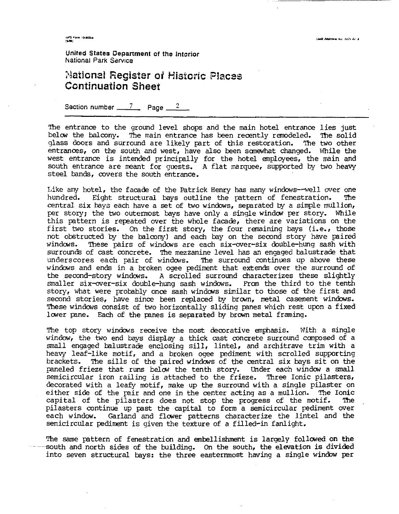**United States Department of the Interior National Park Service** 

## **2laijonai Register of Historic** B1~ces **Ccntinuation Sheet**

**Section number** *7* **Page** *2* 

The entrance to the ground level shops and the main hotel entrance lies just below the balcony. The main entrance has been recently remodeled. The solid glass doors and surround are likely part of this restoration. The two other entrances, on the south and west, have **also** been sanewhat changed. While the west entrance is intended principally for the hotel employees, the main and south entrance are meant for quests. **A** flat marquee, supported by two heavy steel bands, covers the south entrance.

Like any hotel, the facade of the Patrick Henry has many windows--well over one hundred. Eight structural bays outline the pattern of fenestration. The hundred. Eight structural bays outline the pattern of fenestration. central six bays each have a set of two windows, separated by a simple mullion, per story; the two outermost bays have only a single window per story. While this pattern is repated over the whole facade, there are variations on the first two stories. On the first story, the four remaining bays (i.e., those not obstructed by the balcony) and each bay on the second story have paired<br>windows. These pairs of windows are each six-over-six double-hung sash with These pairs of windows are each six-over-six double-hung sash with surrounds of cast concrete. The mezzanine level has an engaged balustrade that underscores each pair of windows. The surround continues up above these windows and ends in a broken ogee pediment that extends over the surround of the second-story windows. A scrolled surround characterizes these slightly<br>smaller six-over-six double-hung sash windows. From the third to the tenth smaller six-over-six double-hung sash windows. story, what were probably once sash windows similar to those of the first and second stories, have since been replaced by brown, metal casement windows. These windows consist of two horizontally sliding panes which rest upon a fixed lower pane. Each of the panes is separated by brown metal framing.

The top story windows receive the most decorative emphasis. With a single window, the two end bays display a thick cast concrete surround canposed of a small engaged balustrade enclosing sill, lintel, and architrave trim with a heavy leaf-like motif, and a broken ogee pdiment with scrolled supporting brackets. The sills of the paired windaus of the central six bays sit on the paneled frieze that runs below the tenth story. Under each window a small semicircular iron railing is attached to the frieze. Three Ionic pilasters, decorated with a leafy motif, make up the surround with a single pilaster on either side of the pair and one in the center acting as a mullion. The Ionic<br>capital of the pilasters does not stop the progress of the motif. The capital of the pilasters does not stop the progress of the motif. pilasters continue up past the capital to form a semicircular pediment over<br>each window. Garland and flower patterns characterize the lintel and the Garland and flower patterns characterize the lintel and the semicircular pdiment is given the texture of a filled-in fanlight.

The same pattern of fenestration and embellishment is largely followed on the -south and north sides of the building. On the south, the elevation is divided into seven structural bays: the three easternmost having a single window per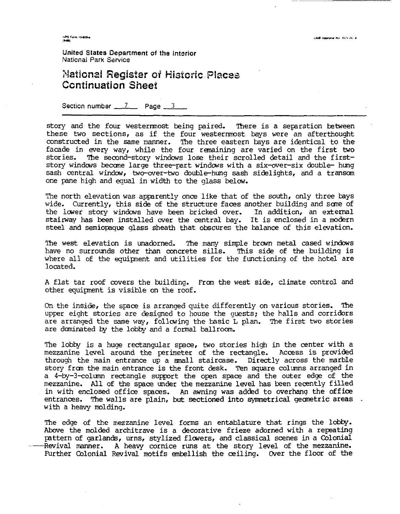NPS Form 10-800-4

**United Slates Department of the lntcrior Nztional Park Service** 

## *3laijond Register* **oi Histcric** P!z?ces **Ccntinuation** *Sheet*

**Section number 7 Page 3** 

story and the four westernmost being paired. There is a separation between these two sections, as if the four westernmost bays were an afterthought constructed in the same manner. The three eastern bays are identical to the facade in wery way, while the four remaining are varied on the first two stories. The second-story windows lose their scrolled detail and the firststory windows become large three-part windows with a six-over-six double- hung sash central window, two-over-two double-hung sash sidelights, and a transom one pane high and equal in width to the glass below.

The north elevation was apparently once like that of the south, only three bays wide. Currently, this side of the structure faces another building and sane of the lower story windows have been bricked over. In addition, an external stairway has been installed over the central bay. It is enclosed in a modern steel and semiopaque glass sheath that obscures the balance of this elevation.

The west elevation is unadorned. The many simple brown metal cased windows<br>have no surrounds other than concrete sills. This side of the building is have no surrounds other than concrete sills. where all of the equipnent and utilities for the functioning of the hotel are located.

A flat tar roof covers the building. From the west side, climate control and other guipnent is visible on the roof.

On the inside, the space is arranged quite differently on various stories. The upper eight stories are designed to house the guests; the halls and corridors are arranged the same way, following the basic L plan. The first two stories are dcmimted by the lobby and a formal ballroom.

The lobby is a huge rectangular space, two stories high in the center with a mezzanine level around the primeter of the rectangle. Access is provided through the main entrance up a mall staircase. Directly across the marble story from the main entrance is the front desk. Ten square columns arranged in a 4-by-3-column rectangle support the open space and the outer edge of the mezzanine. All of the space under the mezzanine level has been recently filled in with enclosed office spaces. **Fn** awning was added to overhang the office entrances. The walls are plain, but sectioned into symmetrical geometric areas. with a heavy molding.

The edge of the mezzanine level forms an entablature that rings the lobby. Abare the molded architrave is a decorative frieze adorned with a repating pattern of garlands, urns, stylized flmers, and classical scenes in a Colonial  $R$ evival manner. A heavy cornice runs at the story level of the mezzanine. Further Colonial Revival motifs embellish the ceiling. Over the floor of the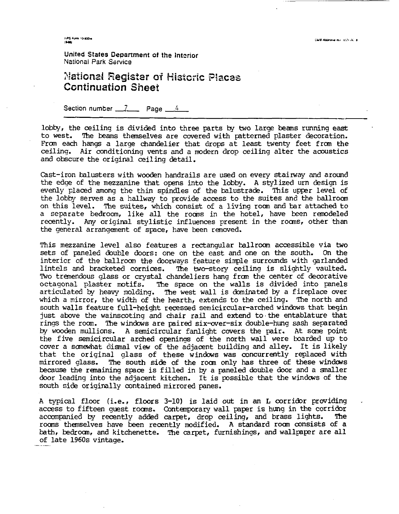.<br>1995. Form. 10-800-a<br>1940a

**United States Department of tho lntcrior National Park Sawice** 

## **?laijsnzii Register sf Histcrtc Blacaa Section number 7 Page** *4*  **Ccntinuztion** *Sheet*

lobby, the ceiling is divided into three parts **by** two large beams running east to west. The beams themselves are covered with patterned plaster decoration. From each hangs a large chandelier that drops at least twenty feet from the ceiling. Air conditioning vents and a modern drop ceiling alter the acoustics and obscure the original ceiling detail.

Cast-iron balusters with wooden handrails are used on every stairway and around the edge of the mezzanine that opens into the lobby. A stylized urn design is evenly laced among the thin spindles of the balustrade. This upper level of the lobby serves as a hallway to provide access to the suites and the ballroom on this level. The suites, which consist of a living room and bar attached to a separate bedroom, like all the rooms in the hotel, have been remodeled recently. Any original stylistic influences present in the rooms, other than the general arrangement of space, have been removed.

This mezzanine level also features a rectangular ballroom accessible via two sets of paneled double doors: one on the east and one on the south. On the interior of the ballroom the doorways feature simple surrounds with garlanded<br>lintels and bracketed cornices. The two-story ceiling is slightly vaulted. The two-story ceiling is slightly vaulted. Two tremendous glass or crystal chandeliers hang from the center of decorative octagonal plaster motifs. The space on the walls is divided into panels articulated by heavy molding. The west wall is daminated by a fireplace over which a mirror, the width of the hearth, extends to the ceiling. The north and south walls feature full-height recessed semicircular-arched windows that begin just above the wainscoting and chair rail and extend to the entablature that rings the room. The windows are paired six-over-six double-hung sash separated by wooden mullions. **A** semicircular fanlight cwers the pair. At sane point the five semicircular arched openings of the north wall were boarded up to cover a sanewhat disnal view of the adjaoent building and alley. It is likely that the original glass of these windaws was concurrently replaced with mirrored glass. The south side of the roan only has three of these windws because the remaining space is filled in by a paneled double door and a smaller door leading into the adjacent kitchen. It is possible that the windows of the south side originally contained mirrored panes.

A typical floor (i.e., floors 3-10) is laid out in an L corridor providing access to fifteen guest rooms. Contemporary wall paper is hung in the corridor<br>accompanied by recently added carpet, drop ceiling, and brass lights. The accompanied by recently added carpet, drop ceiling, and brass lights. **rooms** thenselves have been recently modified. A standard roan consists of a bath, bedroom, and kitchenette. The carpet, furnishings, and wallpaper are all of late 1960s vintage.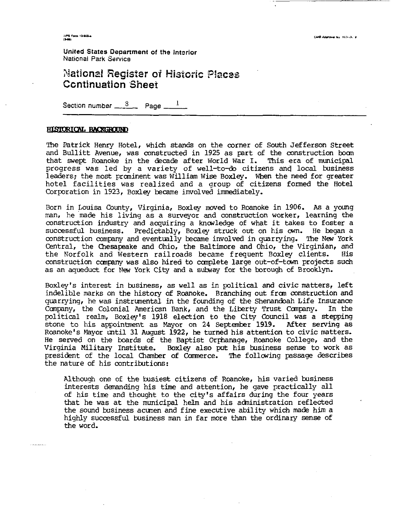**United States Department of the lntsrior National Park Service** 

# **Natjond Register of Wis\$oric Piaces Ccntinuation Sheet United States Department of the Interior National Park Service**<br> **National Register of Historic Pl**<br> **Continuation Sheet**<br>
Section number <u>- <sup>8</sup> Page - 1</u>

#### HISTORICAL BACKGROUND

The Patrick Henry Hotel, which stands on the corner of South Jefferson Street and Bullitt Avenue, was constructed in 1925 as part of the construction boom that swept Roanoke in the decade after World War I. This era of municipal progress was led by a variety of well-to-do citizens and local business leaders: the most prominent was William Wise Boxley. **When** the need for greater hotel facilities was realized and a group of citizens formed the Hotel Corporation in 1923, Boxley became involved immediately.

Born in Louisa County, Virginia, Boxley moved to Roanoke in 1906. As a young man, he 'made his living as a surveyor and construction worker, learning the construction industry and acquiring a knowledge of what it takes to foster a successful business. Predictably, Boxley struck out on his m. He began a construction company and eventually became involved in quarrying. The New York Central, the Chesapeake and Ohio, the Baltimore and Ohio, the Virginian, and the Norfolk and Western railroads became frequent Boxley clients. His the Norfolk and Western railroads became frequent Boxley clients. construction company was also hired to complete large out-of-town projects such as an aqueduct for **Nw** York City and a subay for the borough of Brooklyn.

Boxley's interest in business, as well as in political and civic matters, left indelible marks on the history of Roanoke. Branching out £ran construction and quarrying, he was instrmental in the founding of the Shenandoah Life Insurance Company, the Colonial American Bank, and the Liberty Trust Company. political realm, Boxley's 1918 election to the City Council was a stepping<br>stone to his appointment as Mayor on 24 September 1919. After serving as stone to his appointment as Mayor on 24 September 1919. Roanoke's Mayor until 31 August 1922, he turned his attention to civic matters. He served on the boards of the Baptist Orphanage, Roanoke College, and the Virginia Military Institute. Boxley also put his business sense to work as president of the local Chamber of Commerce. The following passage describes the nature of his contributions:

Although one of the busiest citizens of Rcanoke, his varied business interests dananding his time and attention, he gave practically all of his time and thought to the city's affairs during the four years that he was at the municipal helm and his acministration reflected the sound business acunen and fine executive ability which **made** him a highly successful business man in far more than the ordinary sense of the word.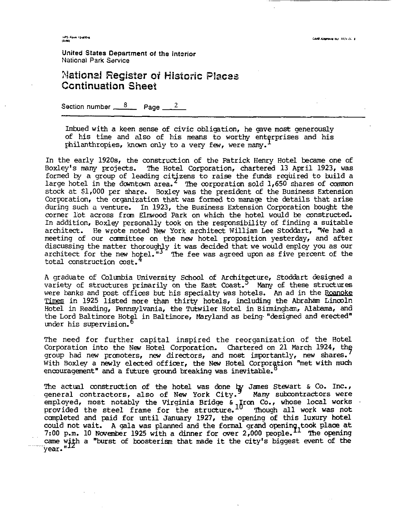.<br>NPS Form 10-000-4

**United States Depanment ot the Interior**  National **Park** Sswice

## **Plaijoraai** *Register* **of Mistoric** Pkczs **Ccntinuation Sheel**

Section number  $\frac{8}{2}$  Page  $\frac{2}{3}$ 

Imbued with a keen sense of civic obligation, he gave most generously of his time and also of his means to worthy enterprises and his philanthropies, known only to a very few, were many.

In the early 1920% the construction of the Patrick Henry Hotel became one of Boxley's **many** projects. The Hotel Corporation, chartered 13 April 1923, was formed by a group of leading citizens to raise the funds required to build a large hotel in the downtown area.<sup>2</sup> The corporation sold  $1,650$  shares of common stock at \$1,000 per share. Boxley was the president of the Business Extension Corporation, the organization that was formed to manage the details that arise during such a venture. In 1923, the Business Extension Corporation bought the corner lot across from Elmwood Park on which the hotel would be constructed. In addition, Boxley personally took on the responsibility of finding a suitable architect. He wrote noted New York architect William Lee Stoddart, 'We had a meeting of our committee on the new hotel proposition yesterday, and after discussing the matter thoroughly it was decided that we would employ you as our architect for the new hotel." $3^{\circ}$  The fee was agreed upon as five percent of the total construction cost.

A graduate of Columbia University School of Architecture, Stoddart designed a variety of structures primarily on the East Coast. *Many* of these structures were banks and post offices but his specialty was hotels. An ad in the Roanoke Times in 1925 listed more than thirty hotels, including the Abraham Lincoln Hotel in Reading, Pennsylvania, the Tutwiler Hotel in Birminghm, **Alabama,** and the Lord Baltimore Hotel in Baltimore, Maryland as being "designed and erected" under his supervision.

The need for further capital inspired the reorganization of the Hotel Corporation into the New Hotel Corporation. Chartered on 21 March 1924, the group had new promoters, new directors, and most importantly, new shares. With Boxley a newly elected officer, the New Hotel Corporation "met with much encouragement" and a future ground breaking was inevitable.

The actual construction of the hotel was done  ${t}$  James Stewart & Co. Inc., general contractors, also of New York City. Many subcontractors were employed, most notably the Virginia Bridge & Iron Co., whose local works provided the steel frame for the structure. If Though all work was not canpleted and paid for until January 1927, the opening of this luxury hotel could not wait. A gala was planned and the formal grand opening, took place at 7:00 p.m. 10 November 1925 with a dinner for over  $2,000$   $people.<sup>11</sup>$  The opening extra p.m. It november 1925 with a dimer for over 2,000 people. The opening<br>came with a "burst of boosterism that made it the city's biggest event of the  $\overline{\text{year}}$ ." $^{\text{II}}$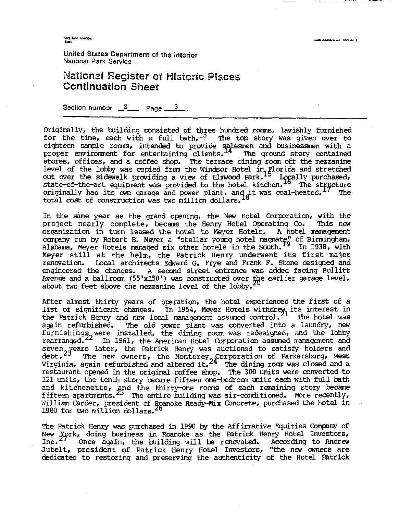--

United States **Department** of *the* interior **National Park Service** 

## **illaiional Register of Historic Places**<br>**Continuation Sheet**<br>Section number 8 **Page** 3 **Ccntinuation Sheet**

Originally, the building consisted of three hundred rooms, lavishly furnished<br>for the time, each with a full bath. <sup>13</sup> The top story was given over to eighteen sample rooms, intended to provide salesmen and businessmen with a proper environment for entertaining consisted of three nundred rooms, lavishly furnished<br>for the time, each with a full bath. The top story was given over to<br>eighteen sample rooms, intended to provide salesmen and busines stores, offices, and a coffee shop. 'Ihe terrace dining roan off the mezzanine level of the lobby was copied from the Windsor Hotel in Florida and stretched out over the sidewalk providing a view of Elmwood Park.<sup>15</sup> Logally purchased, state-of-the-art equipment was provided to the hotel kitchen. If The structure originally had its own garage and power plant, and it was coal-heated.<sup>17</sup> The total cost of construction was two million dollars.

In the same year as the grand opening, the New Hotel Corporation, with the project nearly complete, became the Henry Hotel Operating Co. This new organization in turn leased **the** hotel to Meyer Hotels. A hotel management organization in turn leased the hotel to Meyer Hotels. A hotel management<br>company run by Robert B. Meyer a "stellar young hotel magnate" of Birmingham,<br>Alabama Marsa Watels senses in the line is the Santh <sup>19</sup> In 1939 stit Alabama, Meyer Hotels managed six other hotels in the South.<sup>19</sup> In 1938, with Meyer still at the helm, the Patrick Henry underwent its first major renwation. Local architects Edward G. Frye and Frank F. Stone designed and engineered the changes. A second street entrance was added facing Bullitt Avenue and a ballroom (55'x150') was constructed over the earlier garage level, about two feet above the mezzanine level of the lobby.

After almost thirty years of operation, the hotel experienced the first of a list of significant changes. In 1954, Meyer Hotels withdrew, its interest in the Patrick Henry and new local management assumed control.<sup>21</sup> The hotel was again refurbished. The old power plant was converted into a laundry, new furnishing , were installed, the dining room was redesigned, and the lobby rearranged.<sup>22</sup> In 1961, the American Hotel Corporation assumed management and seven<sub>a</sub>years later, the Patrick Henry was auctioned to satisfy holders and debt.<sup>23</sup> The new owners, the Monterey Corporation of Parkersburg, West<br>Virginia, again refurbished and altered it.<sup>24</sup> The dining room was closed and a restaurant opned in the original coffee shop. The **300** units were converted to 121 units, the tenth story became fifteen one-bedroan units each with full bath and kitchenette, and the thirty-one rooms of each remaining story became fifteen apartments.  $25$  The entire building was air-conditioned. More recently, rifteen apar<del>u</del>ments.-- The entire puilding was air-conditioned. More recently,<br>William Carder, president of <u>Ro</u>anoke Ready-Mix Concrete, purchased the hotel in 1980 for two million dollars.

The Patrick Henry was purchased in 1990 by the Affirmative Equities **ComFeny** of New York, doing business in Roanoke as the Patrick Henry Hotel Investors, Inc.<sup>21</sup> Once again, the building will be renovated. According to Andrew Jubelt, president of Patrick Henry Hotel Investors, "the new mers are dedicated to restoring and preserving the authenticity of the Hotel Patrick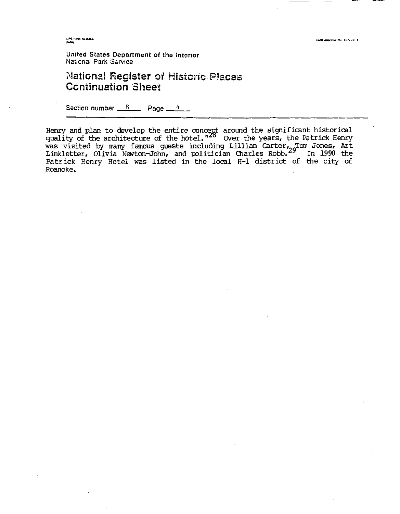14PS Form 10-900-a

**CMB Approval No. 102x3C-8** 

**United States Department of the Interior National Park Service** 

### **?laiionai Register oi Historic** P!scesi **Ccntinuation Sheet**

Section number 8 Page 4

Henry and plan to develop the entire concept around the significant historical quality of the architecture of the hotel. "<sup>28</sup> Over the years, the Patrick Henry was visited by many famous guests including Lillian Carter, Tom Jones, Art Linkletter, Olivia Newton-John, and politician Charles Robb.<sup>29</sup> In 1990 the Patrick Henry Hotel was listed in the local H-1 district of the city of Roanoke.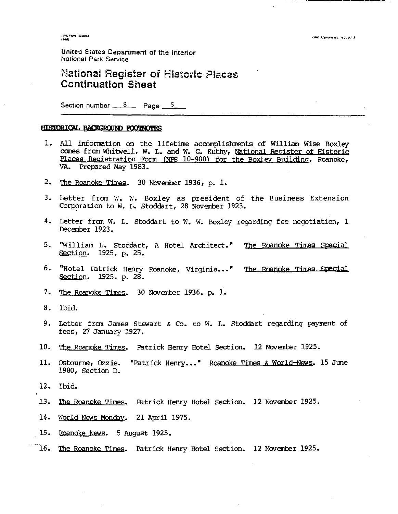NPS Form 10-800-4<br>(5-66)

**United States Department of the lntcrior National Park Ssrvice** 

## **National Register of Historic Places Ccntinuation** *Sheet*

Section number  $8 \times 8$  Page  $5 \times 5$ 

#### HISTORICAL BACKGROUND FOOTNOTES

- 1. All information on the lifetime accomplishments of Willian Wise Boxley comes from Whitwell, W. L. and W. G. Kuthy, National Register of Historic Places Registration Form (NPS 10-900) for the Boxley Building, Roanoke, **VA.** Prepared May 1983.
- 2. The Roanoke Times. 30 November 1936, p. 1.
- 3. Letter from W. W. Boxley as president of the Business Extension Corporation to W. L. Stoddart, 28 Novanber 1923.
- 4. Letter frcm **W.** L. Stoddart to W. W. **Boxley** regarding fee negotiation, 1 Decgnber 1923.
- 5. "William L. Stoddart, A Hotel Architect." The Roanoke Times Special Section. 1925. p. 25.
- 6. "Hotel Patrick Henry Roanoke, Virginia..." The Roanoke Times Special Section. 1925. p. 28.
- 7. The Roanoke Times. 30 November 1936. p. 1.
- 8. Ibid.
- 9. Letter frcm James Stewart & Co. to W. **1,.** Stoddart regarding payment of fees, 27 January 1927.
- 10. The Roanoke Times. Patrick Henry Hotel Section. 12 November 1925.
- 11. Osbourne, Ozzie. "Patrick Henry..." Roanoke Times & World-News. 15 June 1980, Section **D.**
- 12. Ibid.
- 13. The Roanoke Times. Patrick Henry Hotel Section. 12 November 1925.
- 14. World News Monday. 21 April 1975.
- 15. Roanoke News. 5 August 1925.
- . 16. <u>The Roanoke Times</u>. Patrick Henry Hotel Section. 12 November 1925.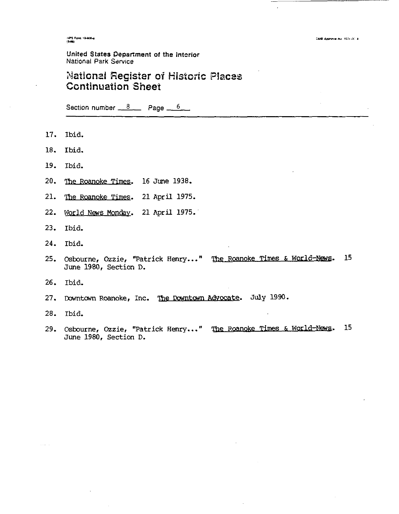11PS Form 10-900-a

### **United States Department of the Interior** National Park **Sarvice**

### **Nationai Register of Mistouic Piaces Ccntinuation** *Sheet*

Section number 8 **Page** 6 **Page** 

- 17. Ibid.
- 18. Ibid.
- 19. Ibid.
- 20. The Roanoke Times. 16 June 1938.
- 21. The Roanoke Times. 21 April 1975.
- 22. World News Mondav. 21 April 1975.
- 23. Ibid.
- 24. Ibid.
- 25. Osbourne, Ozzie, "Patrick Henry..." The Roanoke Times & World-News. 15 June 1980, Section D.
- 26. Ibid.
- 27. Downtown Roanoke, Inc. The Downtown Advocate. July 1990.
- 28. Ibid.

 $\alpha$  ,  $\beta$  ,  $\alpha$  ,  $\beta$ 

29. Osbourne, Ozzie, "Patrick Henry..." The Roanoke Times & World-News. 15 June 1980, Section D.